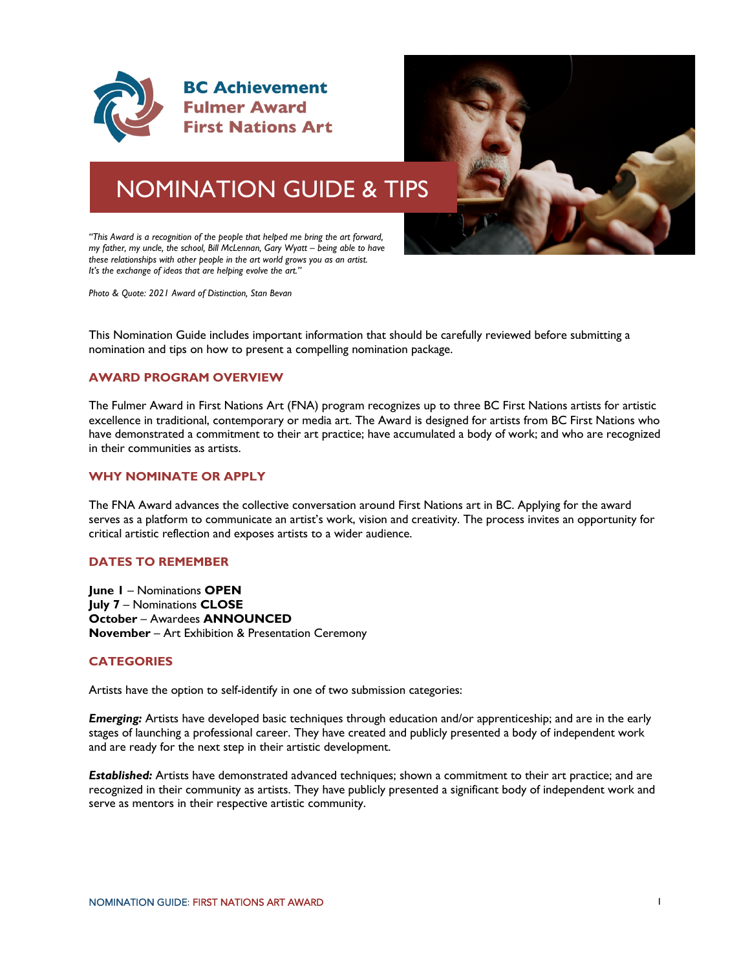



# NOMINATION GUIDE & TIPS

*"This Award is a recognition of the people that helped me bring the art forward, my father, my uncle, the school, Bill McLennan, Gary Wyatt – being able to have these relationships with other people in the art world grows you as an artist. It's the exchange of ideas that are helping evolve the art."*

*Photo & Quote: 2021 Award of Distinction, Stan Bevan*

This Nomination Guide includes important information that should be carefully reviewed before submitting a nomination and tips on how to present a compelling nomination package.

#### **AWARD PROGRAM OVERVIEW**

The Fulmer Award in First Nations Art (FNA) program recognizes up to three BC First Nations artists for artistic excellence in traditional, contemporary or media art. The Award is designed for artists from BC First Nations who have demonstrated a commitment to their art practice; have accumulated a body of work; and who are recognized in their communities as artists.

#### **WHY NOMINATE OR APPLY**

The FNA Award advances the collective conversation around First Nations art in BC. Applying for the award serves as a platform to communicate an artist's work, vision and creativity. The process invites an opportunity for critical artistic reflection and exposes artists to a wider audience.

# **DATES TO REMEMBER**

**June 1** – Nominations **OPEN July 7** – Nominations **CLOSE October** – Awardees **ANNOUNCED November** – Art Exhibition & Presentation Ceremony

#### **CATEGORIES**

Artists have the option to self-identify in one of two submission categories:

*Emerging:* Artists have developed basic techniques through education and/or apprenticeship; and are in the early stages of launching a professional career. They have created and publicly presented a body of independent work and are ready for the next step in their artistic development.

*Established:* Artists have demonstrated advanced techniques; shown a commitment to their art practice; and are recognized in their community as artists. They have publicly presented a significant body of independent work and serve as mentors in their respective artistic community.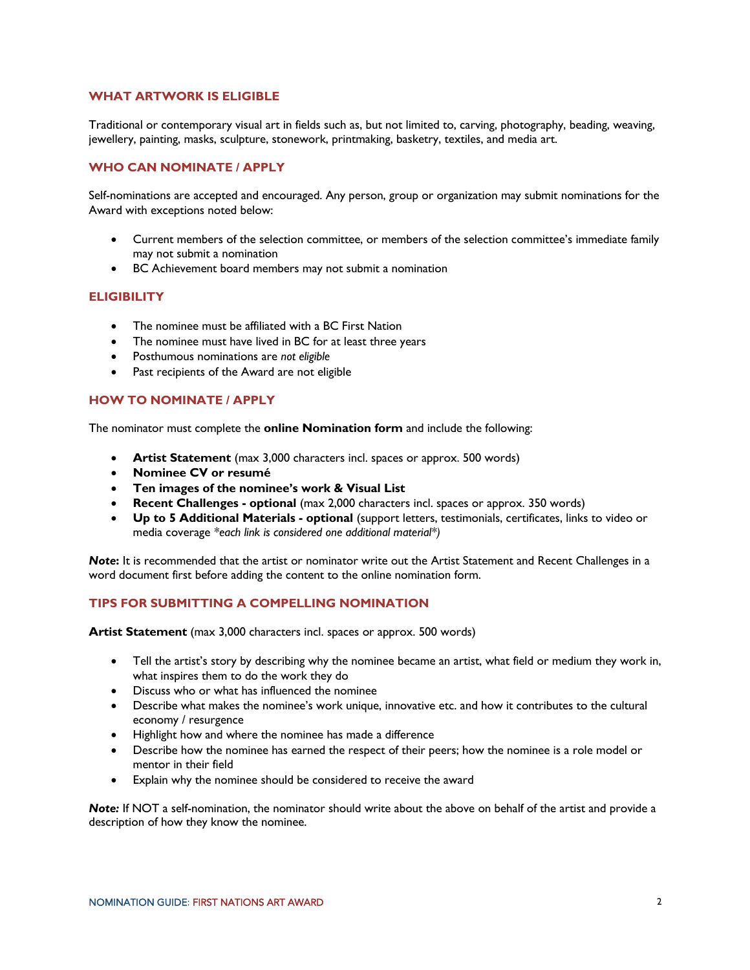## **WHAT ARTWORK IS ELIGIBLE**

Traditional or contemporary visual art in fields such as, but not limited to, carving, photography, beading, weaving, jewellery, painting, masks, sculpture, stonework, printmaking, basketry, textiles, and media art.

#### **WHO CAN NOMINATE / APPLY**

Self-nominations are accepted and encouraged. Any person, group or organization may submit nominations for the Award with exceptions noted below:

- Current members of the selection committee, or members of the selection committee's immediate family may not submit a nomination
- BC Achievement board members may not submit a nomination

# **ELIGIBILITY**

- The nominee must be affiliated with a BC First Nation
- The nominee must have lived in BC for at least three years
- Posthumous nominations are *not eligible*
- Past recipients of the Award are not eligible

# **HOW TO NOMINATE / APPLY**

The nominator must complete the **online Nomination form** and include the following:

- **Artist Statement** (max 3,000 characters incl. spaces or approx. 500 words)
- **Nominee CV or resumé**
- **Ten images of the nominee's work & Visual List**
- **Recent Challenges - optional** (max 2,000 characters incl. spaces or approx. 350 words)
- **Up to 5 Additional Materials - optional** (support letters, testimonials, certificates, links to video or media coverage *\*each link is considered one additional material\*)*

*Note***:** It is recommended that the artist or nominator write out the Artist Statement and Recent Challenges in a word document first before adding the content to the online nomination form.

#### **TIPS FOR SUBMITTING A COMPELLING NOMINATION**

**Artist Statement** (max 3,000 characters incl. spaces or approx. 500 words)

- Tell the artist's story by describing why the nominee became an artist, what field or medium they work in, what inspires them to do the work they do
- Discuss who or what has influenced the nominee
- Describe what makes the nominee's work unique, innovative etc. and how it contributes to the cultural economy / resurgence
- Highlight how and where the nominee has made a difference
- Describe how the nominee has earned the respect of their peers; how the nominee is a role model or mentor in their field
- Explain why the nominee should be considered to receive the award

*Note:* If NOT a self-nomination, the nominator should write about the above on behalf of the artist and provide a description of how they know the nominee.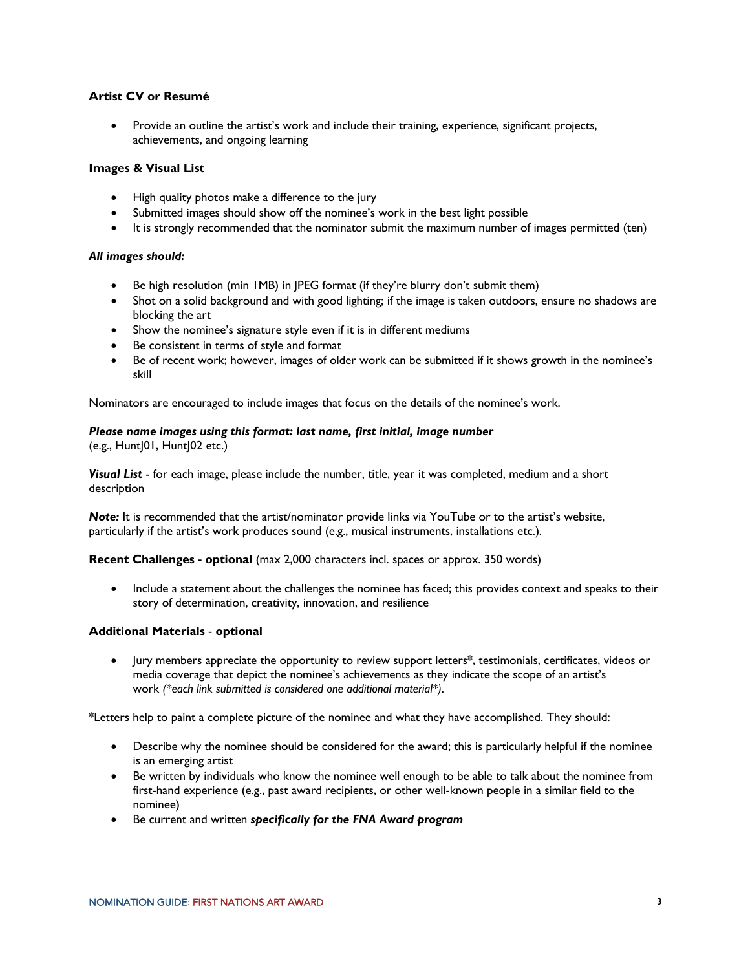# **Artist CV or Resumé**

• Provide an outline the artist's work and include their training, experience, significant projects, achievements, and ongoing learning

#### **Images & Visual List**

- High quality photos make a difference to the jury
- Submitted images should show off the nominee's work in the best light possible
- It is strongly recommended that the nominator submit the maximum number of images permitted (ten)

#### *All images should:*

- Be high resolution (min IMB) in JPEG format (if they're blurry don't submit them)
- Shot on a solid background and with good lighting; if the image is taken outdoors, ensure no shadows are blocking the art
- Show the nominee's signature style even if it is in different mediums
- Be consistent in terms of style and format
- Be of recent work; however, images of older work can be submitted if it shows growth in the nominee's skill

Nominators are encouraged to include images that focus on the details of the nominee's work.

#### *Please name images using this format: last name, first initial, image number*

 $(e.g., Hunt]01, Hunt]02 etc.)$ 

*Visual List* - for each image, please include the number, title, year it was completed, medium and a short description

**Note:** It is recommended that the artist/nominator provide links via YouTube or to the artist's website, particularly if the artist's work produces sound (e.g., musical instruments, installations etc.).

**Recent Challenges - optional** (max 2,000 characters incl. spaces or approx. 350 words)

• Include a statement about the challenges the nominee has faced; this provides context and speaks to their story of determination, creativity, innovation, and resilience

#### **Additional Materials** - **optional**

• Jury members appreciate the opportunity to review support letters\*, testimonials, certificates, videos or media coverage that depict the nominee's achievements as they indicate the scope of an artist's work *(\*each link submitted is considered one additional material\*)*.

\*Letters help to paint a complete picture of the nominee and what they have accomplished. They should:

- Describe why the nominee should be considered for the award; this is particularly helpful if the nominee is an emerging artist
- Be written by individuals who know the nominee well enough to be able to talk about the nominee from first-hand experience (e.g., past award recipients, or other well-known people in a similar field to the nominee)
- Be current and written *specifically for the FNA Award program*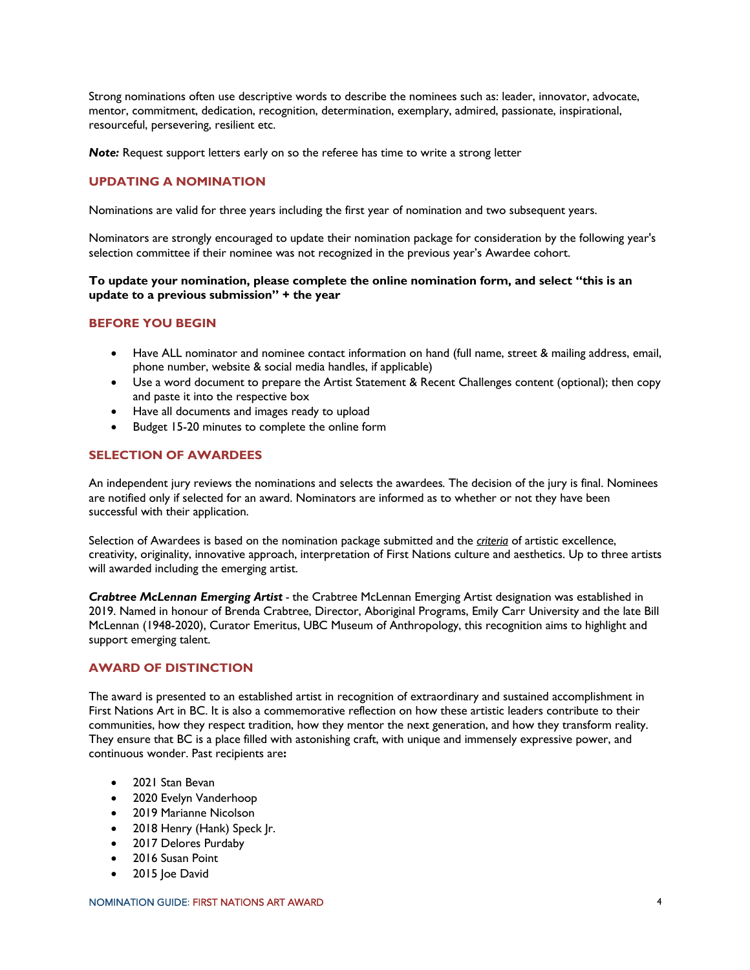Strong nominations often use descriptive words to describe the nominees such as: leader, innovator, advocate, mentor, commitment, dedication, recognition, determination, exemplary, admired, passionate, inspirational, resourceful, persevering, resilient etc.

*Note:* Request support letters early on so the referee has time to write a strong letter

# **UPDATING A NOMINATION**

Nominations are valid for three years including the first year of nomination and two subsequent years.

Nominators are strongly encouraged to update their nomination package for consideration by the following year's selection committee if their nominee was not recognized in the previous year's Awardee cohort.

#### **To update your nomination, please complete the online nomination form, and select "this is an update to a previous submission" + the year**

#### **BEFORE YOU BEGIN**

- Have ALL nominator and nominee contact information on hand (full name, street & mailing address, email, phone number, website & social media handles, if applicable)
- Use a word document to prepare the Artist Statement & Recent Challenges content (optional); then copy and paste it into the respective box
- Have all documents and images ready to upload
- Budget 15-20 minutes to complete the online form

#### **SELECTION OF AWARDEES**

An independent jury reviews the nominations and selects the awardees*.* The decision of the jury is final. Nominees are notified only if selected for an award. Nominators are informed as to whether or not they have been successful with their application.

Selection of Awardees is based on the nomination package submitted and the *criteria* of artistic excellence, creativity, originality, innovative approach, interpretation of First Nations culture and aesthetics. Up to three artists will awarded including the emerging artist.

*Crabtree McLennan Emerging Artist -* the Crabtree McLennan Emerging Artist designation was established in 2019. Named in honour of Brenda Crabtree, Director, Aboriginal Programs, Emily Carr University and the late Bill McLennan (1948-2020), Curator Emeritus, UBC Museum of Anthropology, this recognition aims to highlight and support emerging talent.

# **AWARD OF DISTINCTION**

The award is presented to an established artist in recognition of extraordinary and sustained accomplishment in First Nations Art in BC. It is also a commemorative reflection on how these artistic leaders contribute to their communities, how they respect tradition, how they mentor the next generation, and how they transform reality. They ensure that BC is a place filled with astonishing craft, with unique and immensely expressive power, and continuous wonder. Past recipients are**:**

- 2021 Stan Bevan
- 2020 Evelyn Vanderhoop
- 2019 Marianne Nicolson
- 2018 Henry (Hank) Speck Jr.
- 2017 Delores Purdaby
- 2016 Susan Point
- 2015 loe David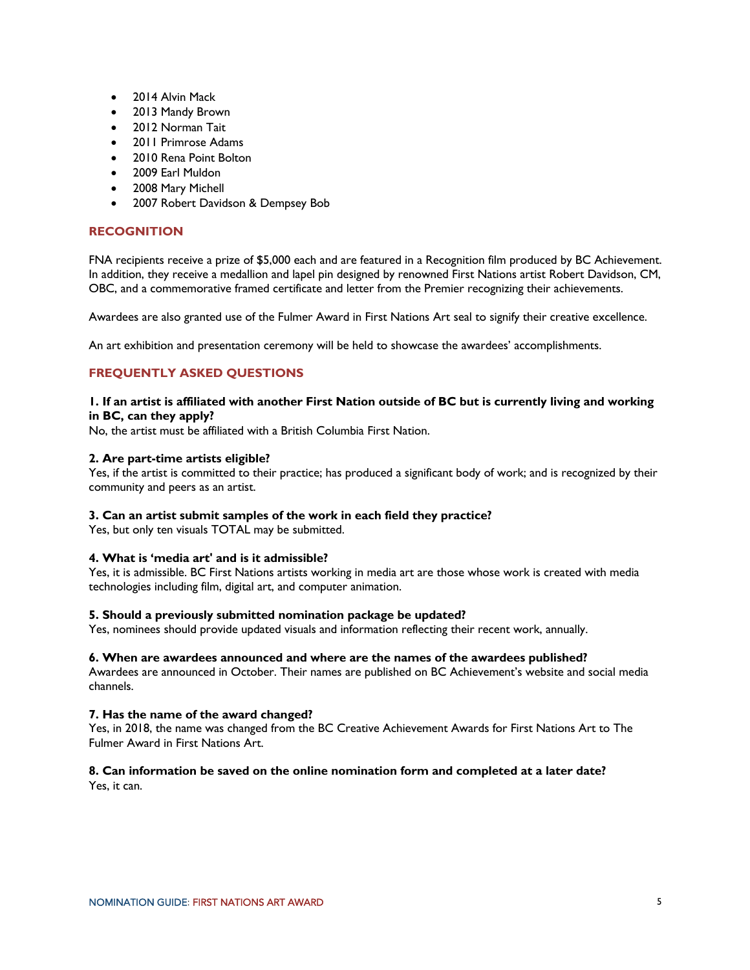- 2014 Alvin Mack
- 2013 Mandy Brown
- 2012 Norman Tait
- 2011 Primrose Adams
- 2010 Rena Point Bolton
- 2009 Earl Muldon
- 2008 Mary Michell
- 2007 Robert Davidson & Dempsey Bob

# **RECOGNITION**

FNA recipients receive a prize of \$5,000 each and are featured in a Recognition film produced by BC Achievement. In addition, they receive a medallion and lapel pin designed by renowned First Nations artist Robert Davidson, CM, OBC, and a commemorative framed certificate and letter from the Premier recognizing their achievements.

Awardees are also granted use of the Fulmer Award in First Nations Art seal to signify their creative excellence.

An art exhibition and presentation ceremony will be held to showcase the awardees' accomplishments.

# **FREQUENTLY ASKED QUESTIONS**

#### **1. If an artist is affiliated with another First Nation outside of BC but is currently living and working in BC, can they apply?**

No, the artist must be affiliated with a British Columbia First Nation.

#### **2. Are part-time artists eligible?**

Yes, if the artist is committed to their practice; has produced a significant body of work; and is recognized by their community and peers as an artist.

#### **3. Can an artist submit samples of the work in each field they practice?**

Yes, but only ten visuals TOTAL may be submitted.

#### **4. What is 'media art' and is it admissible?**

Yes, it is admissible. BC First Nations artists working in media art are those whose work is created with media technologies including film, digital art, and computer animation.

#### **5. Should a previously submitted nomination package be updated?**

Yes, nominees should provide updated visuals and information reflecting their recent work, annually.

#### **6. When are awardees announced and where are the names of the awardees published?**

Awardees are announced in October. Their names are published on BC Achievement's website and social media channels.

#### **7. Has the name of the award changed?**

Yes, in 2018, the name was changed from the BC Creative Achievement Awards for First Nations Art to The Fulmer Award in First Nations Art.

# **8. Can information be saved on the online nomination form and completed at a later date?**

Yes, it can.